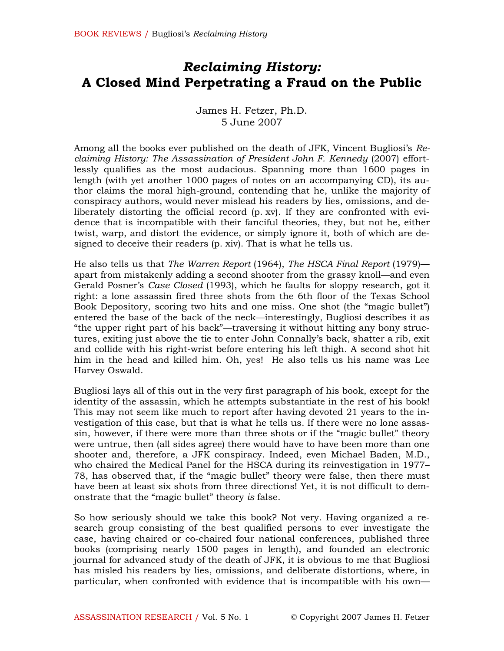# Reclaiming History: A Closed Mind Perpetrating a Fraud on the Public

James H. Fetzer, Ph.D. 5 June 2007

Among all the books ever published on the death of JFK, Vincent Bugliosi's Reclaiming History: The Assassination of President John F. Kennedy (2007) effortlessly qualifies as the most audacious. Spanning more than 1600 pages in length (with yet another 1000 pages of notes on an accompanying CD), its author claims the moral high-ground, contending that he, unlike the majority of conspiracy authors, would never mislead his readers by lies, omissions, and deliberately distorting the official record (p. xv). If they are confronted with evidence that is incompatible with their fanciful theories, they, but not he, either twist, warp, and distort the evidence, or simply ignore it, both of which are designed to deceive their readers (p. xiv). That is what he tells us.

He also tells us that The Warren Report (1964), The HSCA Final Report (1979) apart from mistakenly adding a second shooter from the grassy knoll—and even Gerald Posner's Case Closed (1993), which he faults for sloppy research, got it right: a lone assassin fired three shots from the 6th floor of the Texas School Book Depository, scoring two hits and one miss. One shot (the "magic bullet") entered the base of the back of the neck—interestingly, Bugliosi describes it as "the upper right part of his back"—traversing it without hitting any bony structures, exiting just above the tie to enter John Connally's back, shatter a rib, exit and collide with his right-wrist before entering his left thigh. A second shot hit him in the head and killed him. Oh, yes! He also tells us his name was Lee Harvey Oswald.

Bugliosi lays all of this out in the very first paragraph of his book, except for the identity of the assassin, which he attempts substantiate in the rest of his book! This may not seem like much to report after having devoted 21 years to the investigation of this case, but that is what he tells us. If there were no lone assassin, however, if there were more than three shots or if the "magic bullet" theory were untrue, then (all sides agree) there would have to have been more than one shooter and, therefore, a JFK conspiracy. Indeed, even Michael Baden, M.D., who chaired the Medical Panel for the HSCA during its reinvestigation in 1977– 78, has observed that, if the "magic bullet" theory were false, then there must have been at least six shots from three directions! Yet, it is not difficult to demonstrate that the "magic bullet" theory is false.

So how seriously should we take this book? Not very. Having organized a research group consisting of the best qualified persons to ever investigate the case, having chaired or co-chaired four national conferences, published three books (comprising nearly 1500 pages in length), and founded an electronic journal for advanced study of the death of JFK, it is obvious to me that Bugliosi has misled his readers by lies, omissions, and deliberate distortions, where, in particular, when confronted with evidence that is incompatible with his own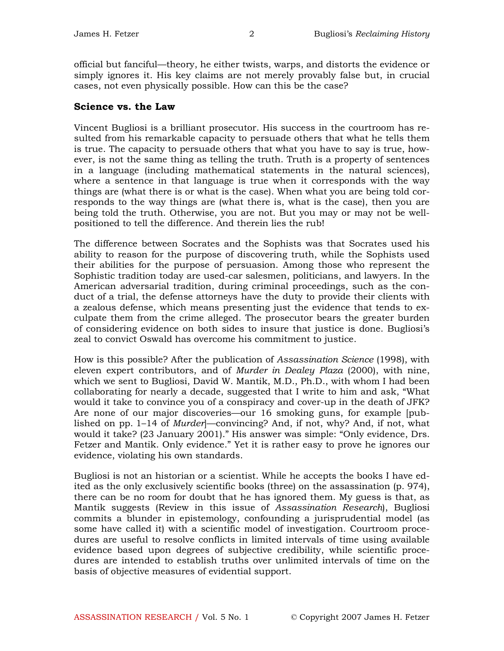official but fanciful—theory, he either twists, warps, and distorts the evidence or simply ignores it. His key claims are not merely provably false but, in crucial cases, not even physically possible. How can this be the case?

#### Science vs. the Law

Vincent Bugliosi is a brilliant prosecutor. His success in the courtroom has resulted from his remarkable capacity to persuade others that what he tells them is true. The capacity to persuade others that what you have to say is true, however, is not the same thing as telling the truth. Truth is a property of sentences in a language (including mathematical statements in the natural sciences), where a sentence in that language is true when it corresponds with the way things are (what there is or what is the case). When what you are being told corresponds to the way things are (what there is, what is the case), then you are being told the truth. Otherwise, you are not. But you may or may not be wellpositioned to tell the difference. And therein lies the rub!

The difference between Socrates and the Sophists was that Socrates used his ability to reason for the purpose of discovering truth, while the Sophists used their abilities for the purpose of persuasion. Among those who represent the Sophistic tradition today are used-car salesmen, politicians, and lawyers. In the American adversarial tradition, during criminal proceedings, such as the conduct of a trial, the defense attorneys have the duty to provide their clients with a zealous defense, which means presenting just the evidence that tends to exculpate them from the crime alleged. The prosecutor bears the greater burden of considering evidence on both sides to insure that justice is done. Bugliosi's zeal to convict Oswald has overcome his commitment to justice.

How is this possible? After the publication of Assassination Science (1998), with eleven expert contributors, and of Murder in Dealey Plaza (2000), with nine, which we sent to Bugliosi, David W. Mantik, M.D., Ph.D., with whom I had been collaborating for nearly a decade, suggested that I write to him and ask, "What would it take to convince you of a conspiracy and cover-up in the death of JFK? Are none of our major discoveries—our 16 smoking guns, for example [published on pp. 1–14 of *Murder*<sup>-</sup>-convincing? And, if not, why? And, if not, what would it take? (23 January 2001)." His answer was simple: "Only evidence, Drs. Fetzer and Mantik. Only evidence." Yet it is rather easy to prove he ignores our evidence, violating his own standards.

Bugliosi is not an historian or a scientist. While he accepts the books I have edited as the only exclusively scientific books (three) on the assassination (p. 974), there can be no room for doubt that he has ignored them. My guess is that, as Mantik suggests (Review in this issue of Assassination Research), Bugliosi commits a blunder in epistemology, confounding a jurisprudential model (as some have called it) with a scientific model of investigation. Courtroom procedures are useful to resolve conflicts in limited intervals of time using available evidence based upon degrees of subjective credibility, while scientific procedures are intended to establish truths over unlimited intervals of time on the basis of objective measures of evidential support.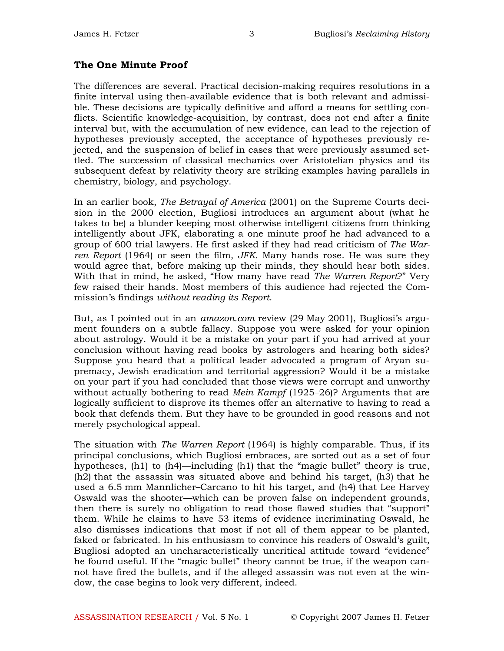#### The One Minute Proof

The differences are several. Practical decision-making requires resolutions in a finite interval using then-available evidence that is both relevant and admissible. These decisions are typically definitive and afford a means for settling conflicts. Scientific knowledge-acquisition, by contrast, does not end after a finite interval but, with the accumulation of new evidence, can lead to the rejection of hypotheses previously accepted, the acceptance of hypotheses previously rejected, and the suspension of belief in cases that were previously assumed settled. The succession of classical mechanics over Aristotelian physics and its subsequent defeat by relativity theory are striking examples having parallels in chemistry, biology, and psychology.

In an earlier book, The Betrayal of America (2001) on the Supreme Courts decision in the 2000 election, Bugliosi introduces an argument about (what he takes to be) a blunder keeping most otherwise intelligent citizens from thinking intelligently about JFK, elaborating a one minute proof he had advanced to a group of 600 trial lawyers. He first asked if they had read criticism of The Warren Report (1964) or seen the film, JFK. Many hands rose. He was sure they would agree that, before making up their minds, they should hear both sides. With that in mind, he asked, "How many have read The Warren Report?" Very few raised their hands. Most members of this audience had rejected the Commission's findings without reading its Report.

But, as I pointed out in an *amazon.com* review (29 May 2001), Bugliosi's argument founders on a subtle fallacy. Suppose you were asked for your opinion about astrology. Would it be a mistake on your part if you had arrived at your conclusion without having read books by astrologers and hearing both sides? Suppose you heard that a political leader advocated a program of Aryan supremacy, Jewish eradication and territorial aggression? Would it be a mistake on your part if you had concluded that those views were corrupt and unworthy without actually bothering to read *Mein Kampf* (1925–26)? Arguments that are logically sufficient to disprove its themes offer an alternative to having to read a book that defends them. But they have to be grounded in good reasons and not merely psychological appeal.

The situation with *The Warren Report* (1964) is highly comparable. Thus, if its principal conclusions, which Bugliosi embraces, are sorted out as a set of four hypotheses, (h1) to (h4)—including (h1) that the "magic bullet" theory is true, (h2) that the assassin was situated above and behind his target, (h3) that he used a 6.5 mm Mannlicher–Carcano to hit his target, and (h4) that Lee Harvey Oswald was the shooter—which can be proven false on independent grounds, then there is surely no obligation to read those flawed studies that "support" them. While he claims to have 53 items of evidence incriminating Oswald, he also dismisses indications that most if not all of them appear to be planted, faked or fabricated. In his enthusiasm to convince his readers of Oswald's guilt, Bugliosi adopted an uncharacteristically uncritical attitude toward "evidence" he found useful. If the "magic bullet" theory cannot be true, if the weapon cannot have fired the bullets, and if the alleged assassin was not even at the window, the case begins to look very different, indeed.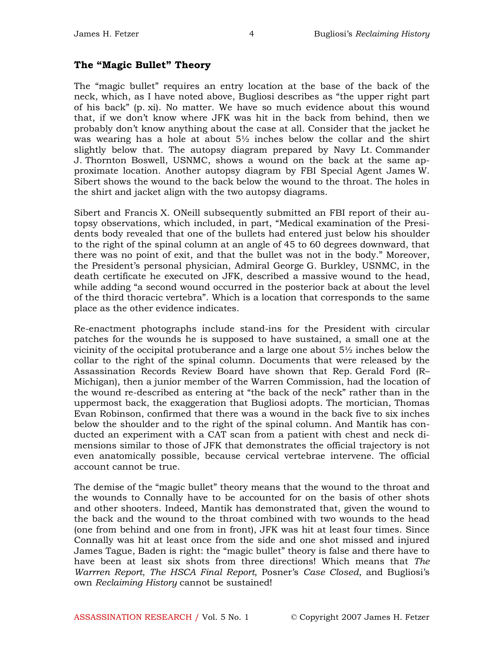### The "Magic Bullet" Theory

The "magic bullet" requires an entry location at the base of the back of the neck, which, as I have noted above, Bugliosi describes as "the upper right part of his back" (p. xi). No matter. We have so much evidence about this wound that, if we don't know where JFK was hit in the back from behind, then we probably don't know anything about the case at all. Consider that the jacket he was wearing has a hole at about  $5\frac{1}{2}$  inches below the collar and the shirt slightly below that. The autopsy diagram prepared by Navy Lt. Commander J. Thornton Boswell, USNMC, shows a wound on the back at the same approximate location. Another autopsy diagram by FBI Special Agent James W. Sibert shows the wound to the back below the wound to the throat. The holes in the shirt and jacket align with the two autopsy diagrams.

Sibert and Francis X. ONeill subsequently submitted an FBI report of their autopsy observations, which included, in part, "Medical examination of the Presidents body revealed that one of the bullets had entered just below his shoulder to the right of the spinal column at an angle of 45 to 60 degrees downward, that there was no point of exit, and that the bullet was not in the body." Moreover, the President's personal physician, Admiral George G. Burkley, USNMC, in the death certificate he executed on JFK, described a massive wound to the head, while adding "a second wound occurred in the posterior back at about the level of the third thoracic vertebra". Which is a location that corresponds to the same place as the other evidence indicates.

Re-enactment photographs include stand-ins for the President with circular patches for the wounds he is supposed to have sustained, a small one at the vicinity of the occipital protuberance and a large one about 5½ inches below the collar to the right of the spinal column. Documents that were released by the Assassination Records Review Board have shown that Rep. Gerald Ford (R– Michigan), then a junior member of the Warren Commission, had the location of the wound re-described as entering at "the back of the neck" rather than in the uppermost back, the exaggeration that Bugliosi adopts. The mortician, Thomas Evan Robinson, confirmed that there was a wound in the back five to six inches below the shoulder and to the right of the spinal column. And Mantik has conducted an experiment with a CAT scan from a patient with chest and neck dimensions similar to those of JFK that demonstrates the official trajectory is not even anatomically possible, because cervical vertebrae intervene. The official account cannot be true.

The demise of the "magic bullet" theory means that the wound to the throat and the wounds to Connally have to be accounted for on the basis of other shots and other shooters. Indeed, Mantik has demonstrated that, given the wound to the back and the wound to the throat combined with two wounds to the head (one from behind and one from in front), JFK was hit at least four times. Since Connally was hit at least once from the side and one shot missed and injured James Tague, Baden is right: the "magic bullet" theory is false and there have to have been at least six shots from three directions! Which means that The Warrren Report, The HSCA Final Report, Posner's Case Closed, and Bugliosi's own Reclaiming History cannot be sustained!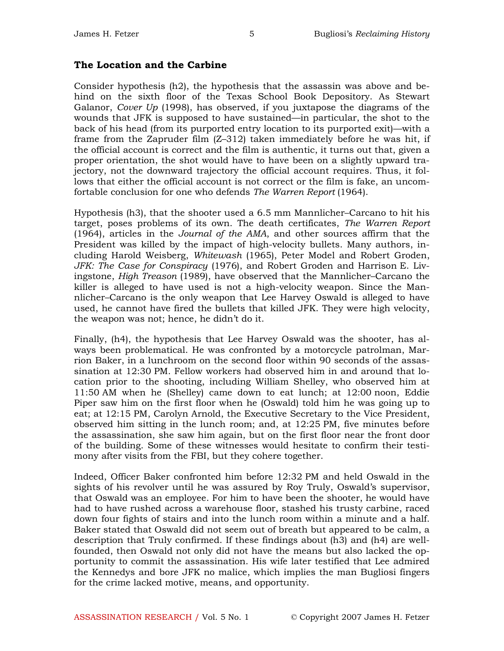#### The Location and the Carbine

Consider hypothesis (h2), the hypothesis that the assassin was above and behind on the sixth floor of the Texas School Book Depository. As Stewart Galanor, Cover Up (1998), has observed, if you juxtapose the diagrams of the wounds that JFK is supposed to have sustained—in particular, the shot to the back of his head (from its purported entry location to its purported exit)—with a frame from the Zapruder film (Z–312) taken immediately before he was hit, if the official account is correct and the film is authentic, it turns out that, given a proper orientation, the shot would have to have been on a slightly upward trajectory, not the downward trajectory the official account requires. Thus, it follows that either the official account is not correct or the film is fake, an uncomfortable conclusion for one who defends The Warren Report (1964).

Hypothesis (h3), that the shooter used a 6.5 mm Mannlicher–Carcano to hit his target, poses problems of its own. The death certificates, The Warren Report (1964), articles in the Journal of the AMA, and other sources affirm that the President was killed by the impact of high-velocity bullets. Many authors, including Harold Weisberg, Whitewash (1965), Peter Model and Robert Groden, JFK: The Case for Conspiracy (1976), and Robert Groden and Harrison E. Livingstone, High Treason (1989), have observed that the Mannlicher–Carcano the killer is alleged to have used is not a high-velocity weapon. Since the Mannlicher–Carcano is the only weapon that Lee Harvey Oswald is alleged to have used, he cannot have fired the bullets that killed JFK. They were high velocity, the weapon was not; hence, he didn't do it.

Finally, (h4), the hypothesis that Lee Harvey Oswald was the shooter, has always been problematical. He was confronted by a motorcycle patrolman, Marrion Baker, in a lunchroom on the second floor within 90 seconds of the assassination at 12:30 PM. Fellow workers had observed him in and around that location prior to the shooting, including William Shelley, who observed him at 11:50 AM when he (Shelley) came down to eat lunch; at 12:00 noon, Eddie Piper saw him on the first floor when he (Oswald) told him he was going up to eat; at 12:15 PM, Carolyn Arnold, the Executive Secretary to the Vice President, observed him sitting in the lunch room; and, at 12:25 PM, five minutes before the assassination, she saw him again, but on the first floor near the front door of the building. Some of these witnesses would hesitate to confirm their testimony after visits from the FBI, but they cohere together.

Indeed, Officer Baker confronted him before 12:32 PM and held Oswald in the sights of his revolver until he was assured by Roy Truly, Oswald's supervisor, that Oswald was an employee. For him to have been the shooter, he would have had to have rushed across a warehouse floor, stashed his trusty carbine, raced down four fights of stairs and into the lunch room within a minute and a half. Baker stated that Oswald did not seem out of breath but appeared to be calm, a description that Truly confirmed. If these findings about (h3) and (h4) are wellfounded, then Oswald not only did not have the means but also lacked the opportunity to commit the assassination. His wife later testified that Lee admired the Kennedys and bore JFK no malice, which implies the man Bugliosi fingers for the crime lacked motive, means, and opportunity.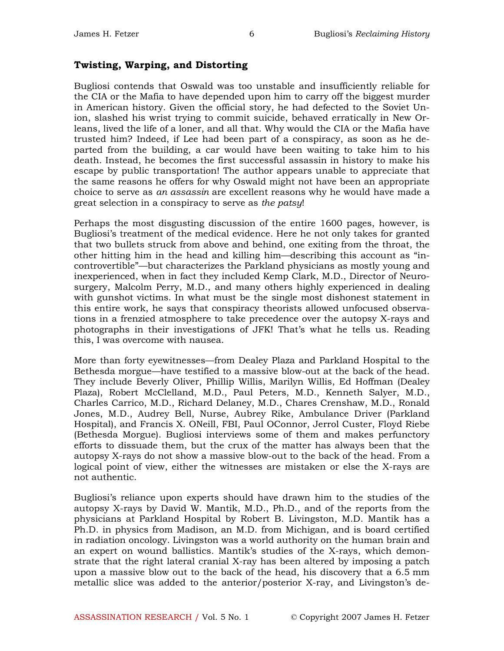#### Twisting, Warping, and Distorting

Bugliosi contends that Oswald was too unstable and insufficiently reliable for the CIA or the Mafia to have depended upon him to carry off the biggest murder in American history. Given the official story, he had defected to the Soviet Union, slashed his wrist trying to commit suicide, behaved erratically in New Orleans, lived the life of a loner, and all that. Why would the CIA or the Mafia have trusted him? Indeed, if Lee had been part of a conspiracy, as soon as he departed from the building, a car would have been waiting to take him to his death. Instead, he becomes the first successful assassin in history to make his escape by public transportation! The author appears unable to appreciate that the same reasons he offers for why Oswald might not have been an appropriate choice to serve as an assassin are excellent reasons why he would have made a great selection in a conspiracy to serve as the patsy!

Perhaps the most disgusting discussion of the entire 1600 pages, however, is Bugliosi's treatment of the medical evidence. Here he not only takes for granted that two bullets struck from above and behind, one exiting from the throat, the other hitting him in the head and killing him—describing this account as "incontrovertible"—but characterizes the Parkland physicians as mostly young and inexperienced, when in fact they included Kemp Clark, M.D., Director of Neurosurgery, Malcolm Perry, M.D., and many others highly experienced in dealing with gunshot victims. In what must be the single most dishonest statement in this entire work, he says that conspiracy theorists allowed unfocused observations in a frenzied atmosphere to take precedence over the autopsy X-rays and photographs in their investigations of JFK! That's what he tells us. Reading this, I was overcome with nausea.

More than forty eyewitnesses—from Dealey Plaza and Parkland Hospital to the Bethesda morgue—have testified to a massive blow-out at the back of the head. They include Beverly Oliver, Phillip Willis, Marilyn Willis, Ed Hoffman (Dealey Plaza), Robert McClelland, M.D., Paul Peters, M.D., Kenneth Salyer, M.D., Charles Carrico, M.D., Richard Delaney, M.D., Chares Crenshaw, M.D., Ronald Jones, M.D., Audrey Bell, Nurse, Aubrey Rike, Ambulance Driver (Parkland Hospital), and Francis X. ONeill, FBI, Paul OConnor, Jerrol Custer, Floyd Riebe (Bethesda Morgue). Bugliosi interviews some of them and makes perfunctory efforts to dissuade them, but the crux of the matter has always been that the autopsy X-rays do not show a massive blow-out to the back of the head. From a logical point of view, either the witnesses are mistaken or else the X-rays are not authentic.

Bugliosi's reliance upon experts should have drawn him to the studies of the autopsy X-rays by David W. Mantik, M.D., Ph.D., and of the reports from the physicians at Parkland Hospital by Robert B. Livingston, M.D. Mantik has a Ph.D. in physics from Madison, an M.D. from Michigan, and is board certified in radiation oncology. Livingston was a world authority on the human brain and an expert on wound ballistics. Mantik's studies of the X-rays, which demonstrate that the right lateral cranial X-ray has been altered by imposing a patch upon a massive blow out to the back of the head, his discovery that a 6.5 mm metallic slice was added to the anterior/posterior X-ray, and Livingston's de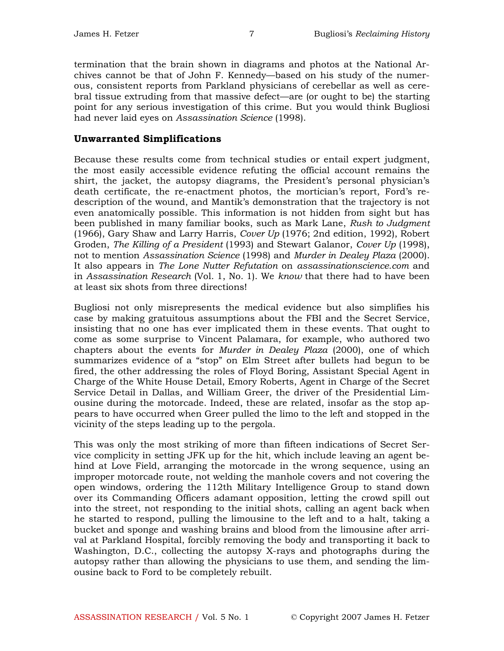termination that the brain shown in diagrams and photos at the National Archives cannot be that of John F. Kennedy—based on his study of the numerous, consistent reports from Parkland physicians of cerebellar as well as cerebral tissue extruding from that massive defect—are (or ought to be) the starting point for any serious investigation of this crime. But you would think Bugliosi had never laid eyes on Assassination Science (1998).

### Unwarranted Simplifications

Because these results come from technical studies or entail expert judgment, the most easily accessible evidence refuting the official account remains the shirt, the jacket, the autopsy diagrams, the President's personal physician's death certificate, the re-enactment photos, the mortician's report, Ford's redescription of the wound, and Mantik's demonstration that the trajectory is not even anatomically possible. This information is not hidden from sight but has been published in many familiar books, such as Mark Lane, Rush to Judgment (1966), Gary Shaw and Larry Harris, Cover Up (1976; 2nd edition, 1992), Robert Groden, The Killing of a President (1993) and Stewart Galanor, Cover Up (1998), not to mention Assassination Science (1998) and Murder in Dealey Plaza (2000). It also appears in The Lone Nutter Refutation on assassinationscience.com and in Assassination Research (Vol. 1, No. 1). We know that there had to have been at least six shots from three directions!

Bugliosi not only misrepresents the medical evidence but also simplifies his case by making gratuitous assumptions about the FBI and the Secret Service, insisting that no one has ever implicated them in these events. That ought to come as some surprise to Vincent Palamara, for example, who authored two chapters about the events for Murder in Dealey Plaza (2000), one of which summarizes evidence of a "stop" on Elm Street after bullets had begun to be fired, the other addressing the roles of Floyd Boring, Assistant Special Agent in Charge of the White House Detail, Emory Roberts, Agent in Charge of the Secret Service Detail in Dallas, and William Greer, the driver of the Presidential Limousine during the motorcade. Indeed, these are related, insofar as the stop appears to have occurred when Greer pulled the limo to the left and stopped in the vicinity of the steps leading up to the pergola.

This was only the most striking of more than fifteen indications of Secret Service complicity in setting JFK up for the hit, which include leaving an agent behind at Love Field, arranging the motorcade in the wrong sequence, using an improper motorcade route, not welding the manhole covers and not covering the open windows, ordering the 112th Military Intelligence Group to stand down over its Commanding Officers adamant opposition, letting the crowd spill out into the street, not responding to the initial shots, calling an agent back when he started to respond, pulling the limousine to the left and to a halt, taking a bucket and sponge and washing brains and blood from the limousine after arrival at Parkland Hospital, forcibly removing the body and transporting it back to Washington, D.C., collecting the autopsy X-rays and photographs during the autopsy rather than allowing the physicians to use them, and sending the limousine back to Ford to be completely rebuilt.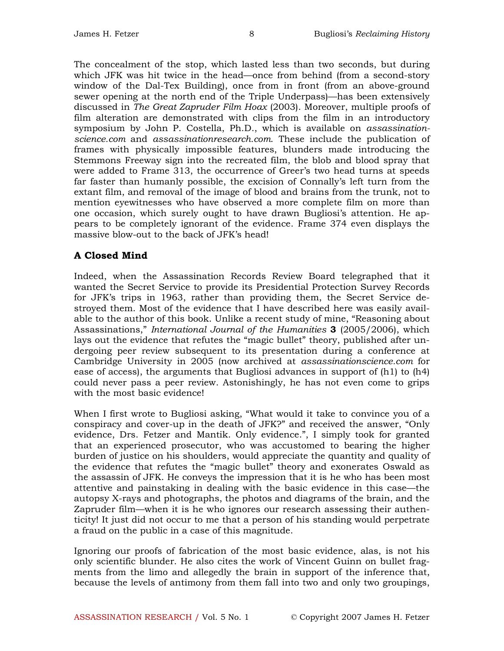The concealment of the stop, which lasted less than two seconds, but during which JFK was hit twice in the head—once from behind (from a second-story window of the Dal-Tex Building), once from in front (from an above-ground sewer opening at the north end of the Triple Underpass)—has been extensively discussed in The Great Zapruder Film Hoax (2003). Moreover, multiple proofs of film alteration are demonstrated with clips from the film in an introductory symposium by John P. Costella, Ph.D., which is available on assassinationscience.com and assassinationresearch.com. These include the publication of frames with physically impossible features, blunders made introducing the Stemmons Freeway sign into the recreated film, the blob and blood spray that were added to Frame 313, the occurrence of Greer's two head turns at speeds far faster than humanly possible, the excision of Connally's left turn from the extant film, and removal of the image of blood and brains from the trunk, not to mention eyewitnesses who have observed a more complete film on more than one occasion, which surely ought to have drawn Bugliosi's attention. He appears to be completely ignorant of the evidence. Frame 374 even displays the massive blow-out to the back of JFK's head!

## A Closed Mind

Indeed, when the Assassination Records Review Board telegraphed that it wanted the Secret Service to provide its Presidential Protection Survey Records for JFK's trips in 1963, rather than providing them, the Secret Service destroyed them. Most of the evidence that I have described here was easily available to the author of this book. Unlike a recent study of mine, "Reasoning about Assassinations," *International Journal of the Humanities* 3 (2005/2006), which lays out the evidence that refutes the "magic bullet" theory, published after undergoing peer review subsequent to its presentation during a conference at Cambridge University in 2005 (now archived at assassinationscience.com for ease of access), the arguments that Bugliosi advances in support of (h1) to (h4) could never pass a peer review. Astonishingly, he has not even come to grips with the most basic evidence!

When I first wrote to Bugliosi asking, "What would it take to convince you of a conspiracy and cover-up in the death of JFK?" and received the answer, "Only evidence, Drs. Fetzer and Mantik. Only evidence.", I simply took for granted that an experienced prosecutor, who was accustomed to bearing the higher burden of justice on his shoulders, would appreciate the quantity and quality of the evidence that refutes the "magic bullet" theory and exonerates Oswald as the assassin of JFK. He conveys the impression that it is he who has been most attentive and painstaking in dealing with the basic evidence in this case—the autopsy X-rays and photographs, the photos and diagrams of the brain, and the Zapruder film—when it is he who ignores our research assessing their authenticity! It just did not occur to me that a person of his standing would perpetrate a fraud on the public in a case of this magnitude.

Ignoring our proofs of fabrication of the most basic evidence, alas, is not his only scientific blunder. He also cites the work of Vincent Guinn on bullet fragments from the limo and allegedly the brain in support of the inference that, because the levels of antimony from them fall into two and only two groupings,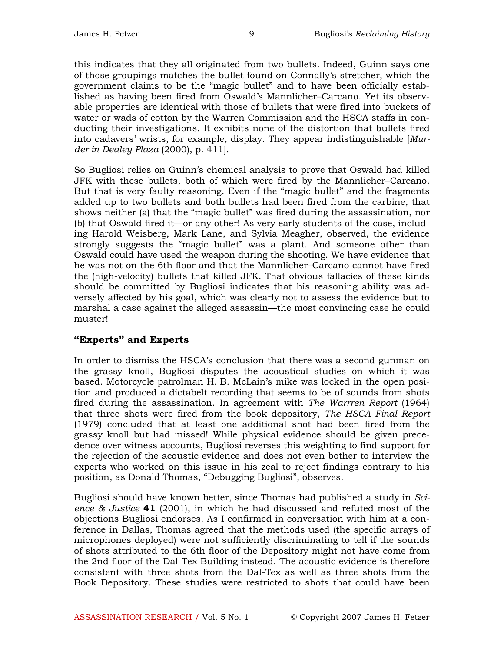this indicates that they all originated from two bullets. Indeed, Guinn says one of those groupings matches the bullet found on Connally's stretcher, which the government claims to be the "magic bullet" and to have been officially established as having been fired from Oswald's Mannlicher–Carcano. Yet its observable properties are identical with those of bullets that were fired into buckets of water or wads of cotton by the Warren Commission and the HSCA staffs in conducting their investigations. It exhibits none of the distortion that bullets fired into cadavers' wrists, for example, display. They appear indistinguishable [Murder in Dealey Plaza (2000), p. 411].

So Bugliosi relies on Guinn's chemical analysis to prove that Oswald had killed JFK with these bullets, both of which were fired by the Mannlicher–Carcano. But that is very faulty reasoning. Even if the "magic bullet" and the fragments added up to two bullets and both bullets had been fired from the carbine, that shows neither (a) that the "magic bullet" was fired during the assassination, nor (b) that Oswald fired it—or any other! As very early students of the case, including Harold Weisberg, Mark Lane, and Sylvia Meagher, observed, the evidence strongly suggests the "magic bullet" was a plant. And someone other than Oswald could have used the weapon during the shooting. We have evidence that he was not on the 6th floor and that the Mannlicher–Carcano cannot have fired the (high-velocity) bullets that killed JFK. That obvious fallacies of these kinds should be committed by Bugliosi indicates that his reasoning ability was adversely affected by his goal, which was clearly not to assess the evidence but to marshal a case against the alleged assassin—the most convincing case he could muster!

## "Experts" and Experts

In order to dismiss the HSCA's conclusion that there was a second gunman on the grassy knoll, Bugliosi disputes the acoustical studies on which it was based. Motorcycle patrolman H. B. McLain's mike was locked in the open position and produced a dictabelt recording that seems to be of sounds from shots fired during the assassination. In agreement with *The Warrren Report* (1964) that three shots were fired from the book depository, The HSCA Final Report (1979) concluded that at least one additional shot had been fired from the grassy knoll but had missed! While physical evidence should be given precedence over witness accounts, Bugliosi reverses this weighting to find support for the rejection of the acoustic evidence and does not even bother to interview the experts who worked on this issue in his zeal to reject findings contrary to his position, as Donald Thomas, "Debugging Bugliosi", observes.

Bugliosi should have known better, since Thomas had published a study in Science  $\&$  Justice 41 (2001), in which he had discussed and refuted most of the objections Bugliosi endorses. As I confirmed in conversation with him at a conference in Dallas, Thomas agreed that the methods used (the specific arrays of microphones deployed) were not sufficiently discriminating to tell if the sounds of shots attributed to the 6th floor of the Depository might not have come from the 2nd floor of the Dal-Tex Building instead. The acoustic evidence is therefore consistent with three shots from the Dal-Tex as well as three shots from the Book Depository. These studies were restricted to shots that could have been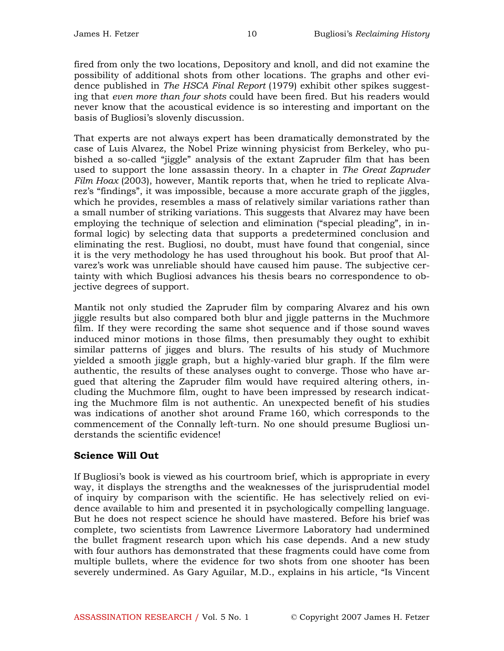fired from only the two locations, Depository and knoll, and did not examine the possibility of additional shots from other locations. The graphs and other evidence published in The HSCA Final Report (1979) exhibit other spikes suggesting that even more than four shots could have been fired. But his readers would never know that the acoustical evidence is so interesting and important on the basis of Bugliosi's slovenly discussion.

That experts are not always expert has been dramatically demonstrated by the case of Luis Alvarez, the Nobel Prize winning physicist from Berkeley, who pubished a so-called "jiggle" analysis of the extant Zapruder film that has been used to support the lone assassin theory. In a chapter in The Great Zapruder Film Hoax (2003), however, Mantik reports that, when he tried to replicate Alvarez's "findings", it was impossible, because a more accurate graph of the jiggles, which he provides, resembles a mass of relatively similar variations rather than a small number of striking variations. This suggests that Alvarez may have been employing the technique of selection and elimination ("special pleading", in informal logic) by selecting data that supports a predetermined conclusion and eliminating the rest. Bugliosi, no doubt, must have found that congenial, since it is the very methodology he has used throughout his book. But proof that Alvarez's work was unreliable should have caused him pause. The subjective certainty with which Bugliosi advances his thesis bears no correspondence to objective degrees of support.

Mantik not only studied the Zapruder film by comparing Alvarez and his own jiggle results but also compared both blur and jiggle patterns in the Muchmore film. If they were recording the same shot sequence and if those sound waves induced minor motions in those films, then presumably they ought to exhibit similar patterns of jigges and blurs. The results of his study of Muchmore yielded a smooth jiggle graph, but a highly-varied blur graph. If the film were authentic, the results of these analyses ought to converge. Those who have argued that altering the Zapruder film would have required altering others, including the Muchmore film, ought to have been impressed by research indicating the Muchmore film is not authentic. An unexpected benefit of his studies was indications of another shot around Frame 160, which corresponds to the commencement of the Connally left-turn. No one should presume Bugliosi understands the scientific evidence!

## Science Will Out

If Bugliosi's book is viewed as his courtroom brief, which is appropriate in every way, it displays the strengths and the weaknesses of the jurisprudential model of inquiry by comparison with the scientific. He has selectively relied on evidence available to him and presented it in psychologically compelling language. But he does not respect science he should have mastered. Before his brief was complete, two scientists from Lawrence Livermore Laboratory had undermined the bullet fragment research upon which his case depends. And a new study with four authors has demonstrated that these fragments could have come from multiple bullets, where the evidence for two shots from one shooter has been severely undermined. As Gary Aguilar, M.D., explains in his article, "Is Vincent